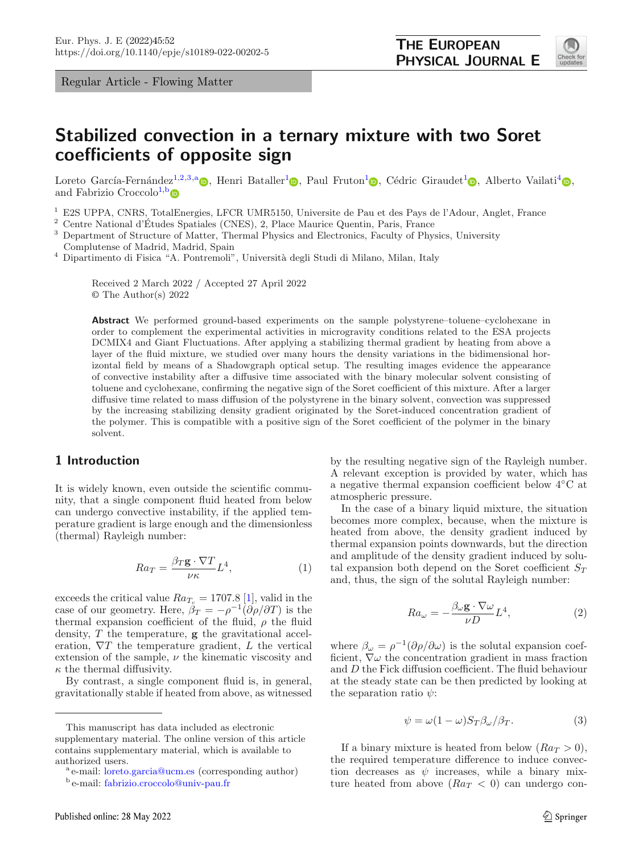Regular Article - Flowing Matter

<span id="page-0-1"></span><span id="page-0-0"></span>

# **Stabilized convection in a ternary mixture with two Soret coefficients of opposite sign**

Loreto García-Fernández<sup>[1,2](#page-0-0)[,3,](#page-0-1)[a](http://orcid.org/0000-0002-9366-2630)</sup> , Henri Bataller<sup>[1](#page-0-0)</sup> [,](http://orcid.org/0000-0002-3119-6021) Paul Fruton<sup>1</sup> , Cédric Giraudet<sup>1</sup> , Alberto Vailati<sup>[4](#page-0-2)</sup> , and Fabrizio Croccolo<sup>[1,](#page-0-0)[b](http://orcid.org/0000-0001-6832-400X)</sup>

<sup>1</sup> E2S UPPA, CNRS, TotalEnergies, LFCR UMR5150, Universite de Pau et des Pays de l'Adour, Anglet, France<br><sup>2</sup> Centre National diffusion Spetiales (CNES), 2 Place Maurice Quertin, Paris, France

<sup>2</sup> Centre National d'Etudes Spatiales (CNES), 2, Place Maurice Quentin, Paris, France ´

<sup>3</sup> Department of Structure of Matter, Thermal Physics and Electronics, Faculty of Physics, University Complutense of Madrid, Madrid, Spain

Dipartimento di Fisica "A. Pontremoli", Università degli Studi di Milano, Milan, Italy

<span id="page-0-2"></span>Received 2 March 2022 / Accepted 27 April 2022 © The Author(s) 2022

**Abstract** We performed ground-based experiments on the sample polystyrene–toluene–cyclohexane in order to complement the experimental activities in microgravity conditions related to the ESA projects DCMIX4 and Giant Fluctuations. After applying a stabilizing thermal gradient by heating from above a layer of the fluid mixture, we studied over many hours the density variations in the bidimensional horizontal field by means of a Shadowgraph optical setup. The resulting images evidence the appearance of convective instability after a diffusive time associated with the binary molecular solvent consisting of toluene and cyclohexane, confirming the negative sign of the Soret coefficient of this mixture. After a larger diffusive time related to mass diffusion of the polystyrene in the binary solvent, convection was suppressed by the increasing stabilizing density gradient originated by the Soret-induced concentration gradient of the polymer. This is compatible with a positive sign of the Soret coefficient of the polymer in the binary solvent.

#### **1 Introduction**

It is widely known, even outside the scientific community, that a single component fluid heated from below can undergo convective instability, if the applied temperature gradient is large enough and the dimensionless (thermal) Rayleigh number:

<span id="page-0-3"></span>
$$
Ra_T = \frac{\beta_T \mathbf{g} \cdot \nabla T}{\nu \kappa} L^4,\tag{1}
$$

exceeds the critical value  $Ra_{T_c} = 1707.8$  [\[1](#page-5-0)], valid in the case of our geometry. Here,  $\tilde{\beta}_T = -\rho^{-1}(\partial \rho/\partial T)$  is the thermal expansion coefficient of the fluid,  $\rho$  the fluid density, <sup>T</sup> the temperature, **g** the gravitational acceleration,  $\nabla T$  the temperature gradient, L the vertical extension of the sample,  $\nu$  the kinematic viscosity and  $\kappa$  the thermal diffusivity.

By contrast, a single component fluid is, in general, gravitationally stable if heated from above, as witnessed by the resulting negative sign of the Rayleigh number. A relevant exception is provided by water, which has a negative thermal expansion coefficient below 4◦C at atmospheric pressure.

In the case of a binary liquid mixture, the situation becomes more complex, because, when the mixture is heated from above, the density gradient induced by thermal expansion points downwards, but the direction and amplitude of the density gradient induced by solutal expansion both depend on the Soret coefficient  $S_T$ and, thus, the sign of the solutal Rayleigh number:

<span id="page-0-4"></span>
$$
Ra_{\omega} = -\frac{\beta_{\omega}\mathbf{g} \cdot \nabla \omega}{\nu D} L^{4},\qquad (2)
$$

where  $\beta_{\omega} = \rho^{-1}(\partial \rho/\partial \omega)$  is the solutal expansion coefficient,  $\nabla\omega$  the concentration gradient in mass fraction and D the Fick diffusion coefficient. The fluid behaviour at the steady state can be then predicted by looking at the separation ratio  $\psi$ :

$$
\psi = \omega (1 - \omega) S_T \beta_\omega / \beta_T. \tag{3}
$$

If a binary mixture is heated from below  $(Ra_T > 0)$ , the required temperature difference to induce convection decreases as  $\psi$  increases, while a binary mixture heated from above  $(Ra_T < 0)$  can undergo con-

This manuscript has data included as electronic supplementary material. The online version of this article contains supplementary material, which is available to authorized users.<br><sup>a</sup> e-mail: [loreto.garcia@ucm.es](mailto:loreto.garcia@ucm.es) (corresponding author)

<sup>b</sup> e-mail: [fabrizio.croccolo@univ-pau.fr](mailto:fabrizio.croccolo@univ-pau.fr)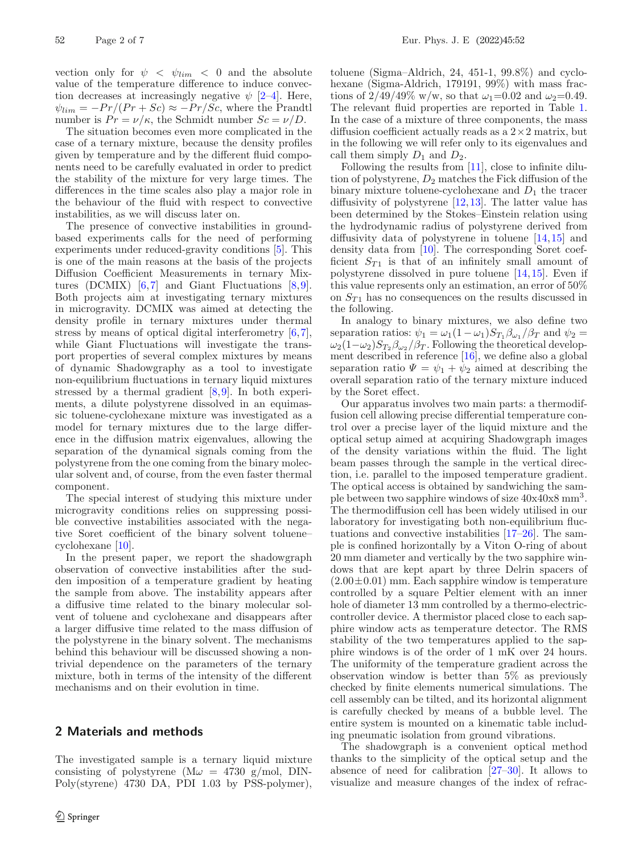vection only for  $\psi$  <  $\psi_{lim}$  < 0 and the absolute value of the temperature difference to induce convection decreases at increasingly negative  $\psi$  [\[2](#page-5-1)[–4](#page-5-2)]. Here,  $\psi_{lim} = -Pr/(Pr + Sc) \approx -Pr/Sc$ , where the Prandtl number is  $Pr = \nu/\kappa$ , the Schmidt number  $Sc = \nu/D$ .

The situation becomes even more complicated in the case of a ternary mixture, because the density profiles given by temperature and by the different fluid components need to be carefully evaluated in order to predict the stability of the mixture for very large times. The differences in the time scales also play a major role in the behaviour of the fluid with respect to convective instabilities, as we will discuss later on.

The presence of convective instabilities in groundbased experiments calls for the need of performing experiments under reduced-gravity conditions [\[5\]](#page-5-3). This is one of the main reasons at the basis of the projects Diffusion Coefficient Measurements in ternary Mixtures (DCMIX)  $[6,7]$  $[6,7]$  $[6,7]$  and Giant Fluctuations  $[8,9]$  $[8,9]$ . Both projects aim at investigating ternary mixtures in microgravity. DCMIX was aimed at detecting the density profile in ternary mixtures under thermal stress by means of optical digital interferometry [\[6,](#page-5-4)[7\]](#page-5-5), while Giant Fluctuations will investigate the transport properties of several complex mixtures by means of dynamic Shadowgraphy as a tool to investigate non-equilibrium fluctuations in ternary liquid mixtures stressed by a thermal gradient  $[8,9]$  $[8,9]$  $[8,9]$ . In both experiments, a dilute polystyrene dissolved in an equimassic toluene-cyclohexane mixture was investigated as a model for ternary mixtures due to the large difference in the diffusion matrix eigenvalues, allowing the separation of the dynamical signals coming from the polystyrene from the one coming from the binary molecular solvent and, of course, from the even faster thermal component.

The special interest of studying this mixture under microgravity conditions relies on suppressing possible convective instabilities associated with the negative Soret coefficient of the binary solvent toluene– cyclohexane [\[10](#page-5-8)].

In the present paper, we report the shadowgraph observation of convective instabilities after the sudden imposition of a temperature gradient by heating the sample from above. The instability appears after a diffusive time related to the binary molecular solvent of toluene and cyclohexane and disappears after a larger diffusive time related to the mass diffusion of the polystyrene in the binary solvent. The mechanisms behind this behaviour will be discussed showing a nontrivial dependence on the parameters of the ternary mixture, both in terms of the intensity of the different mechanisms and on their evolution in time.

## **2 Materials and methods**

The investigated sample is a ternary liquid mixture consisting of polystyrene ( $M\omega = 4730$  g/mol, DIN-Poly(styrene) 4730 DA, PDI 1.03 by PSS-polymer), toluene (Sigma–Aldrich, 24, 451-1, 99.8%) and cyclohexane (Sigma-Aldrich, 179191, 99%) with mass fractions of 2/49/49% w/w, so that  $\omega_1 = 0.02$  and  $\omega_2 = 0.49$ . The relevant fluid properties are reported in Table [1.](#page-2-0) In the case of a mixture of three components, the mass diffusion coefficient actually reads as  $a \times 2$  matrix, but in the following we will refer only to its eigenvalues and call them simply  $D_1$  and  $D_2$ .

Following the results from [\[11\]](#page-5-9), close to infinite dilution of polystyrene,  $D_2$  matches the Fick diffusion of the binary mixture toluene-cyclohexane and  $D_1$  the tracer diffusivity of polystyrene [\[12](#page-5-10)[,13](#page-5-11)]. The latter value has been determined by the Stokes–Einstein relation using the hydrodynamic radius of polystyrene derived from diffusivity data of polystyrene in toluene [\[14](#page-5-12),[15\]](#page-5-13) and density data from [\[10\]](#page-5-8). The corresponding Soret coefficient  $S_{T1}$  is that of an infinitely small amount of polystyrene dissolved in pure toluene [\[14](#page-5-12)[,15](#page-5-13)]. Even if this value represents only an estimation, an error of 50% on  $S_{T1}$  has no consequences on the results discussed in the following.

In analogy to binary mixtures, we also define two separation ratios:  $\psi_1 = \omega_1(1 - \omega_1)S_{T_1}\beta_{\omega_1}/\beta_T$  and  $\psi_2 =$  $\omega_2(1-\omega_2)S_{T_2}\beta_{\omega_2}/\beta_T.$  Following the theoretical development described in reference [\[16\]](#page-5-14), we define also a global separation ratio  $\Psi = \psi_1 + \psi_2$  aimed at describing the overall separation ratio of the ternary mixture induced by the Soret effect.

Our apparatus involves two main parts: a thermodiffusion cell allowing precise differential temperature control over a precise layer of the liquid mixture and the optical setup aimed at acquiring Shadowgraph images of the density variations within the fluid. The light beam passes through the sample in the vertical direction, i.e. parallel to the imposed temperature gradient. The optical access is obtained by sandwiching the sample between two sapphire windows of size 40x40x8 mm<sup>3</sup>. The thermodiffusion cell has been widely utilised in our laboratory for investigating both non-equilibrium fluctuations and convective instabilities [\[17](#page-5-15)[–26\]](#page-5-16). The sample is confined horizontally by a Viton O-ring of about 20 mm diameter and vertically by the two sapphire windows that are kept apart by three Delrin spacers of  $(2.00\pm0.01)$  mm. Each sapphire window is temperature controlled by a square Peltier element with an inner hole of diameter 13 mm controlled by a thermo-electriccontroller device. A thermistor placed close to each sapphire window acts as temperature detector. The RMS stability of the two temperatures applied to the sapphire windows is of the order of 1 mK over 24 hours. The uniformity of the temperature gradient across the observation window is better than 5% as previously checked by finite elements numerical simulations. The cell assembly can be tilted, and its horizontal alignment is carefully checked by means of a bubble level. The entire system is mounted on a kinematic table including pneumatic isolation from ground vibrations.

The shadowgraph is a convenient optical method thanks to the simplicity of the optical setup and the absence of need for calibration [\[27](#page-5-17)[–30](#page-6-0)]. It allows to visualize and measure changes of the index of refrac-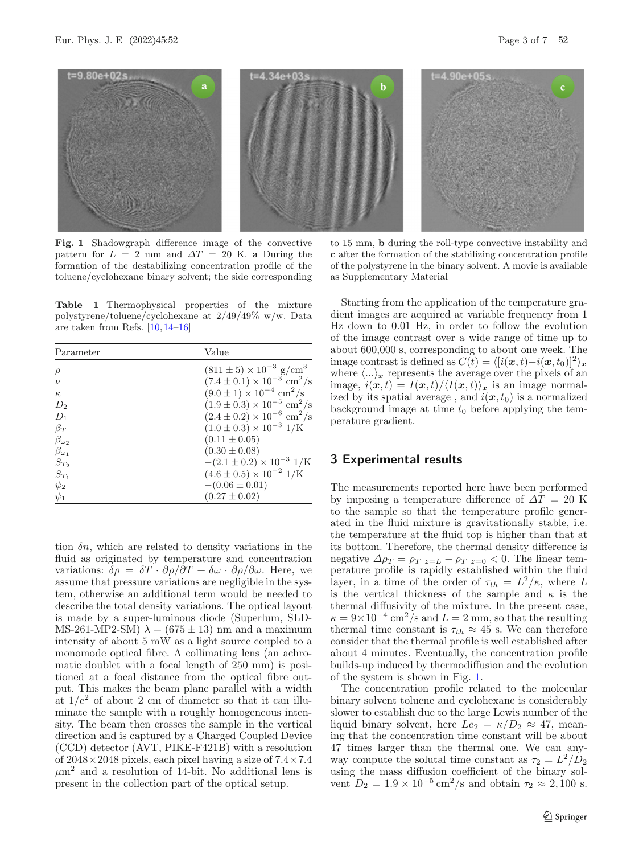

<span id="page-2-1"></span>**Fig. 1** Shadowgraph difference image of the convective pattern for  $L = 2$  mm and  $\Delta T = 20$  K. **a** During the formation of the destabilizing concentration profile of the toluene/cyclohexane binary solvent; the side corresponding

<span id="page-2-0"></span>**Table 1** Thermophysical properties of the mixture polystyrene/toluene/cyclohexane at 2/49/49% w/w. Data are taken from Refs. [\[10](#page-5-8),[14](#page-5-12)[–16\]](#page-5-14)

| Parameter          | Value                                             |
|--------------------|---------------------------------------------------|
| $\rho$             | $(811 \pm 5) \times 10^{-3}$ g/cm <sup>3</sup>    |
| $\nu$              | $(7.4 \pm 0.1) \times 10^{-3}$ cm <sup>2</sup> /s |
| $\kappa$           | $(9.0 \pm 1) \times 10^{-4}$ cm <sup>2</sup> /s   |
| $D_2$              | $(1.9 \pm 0.3) \times 10^{-5}$ cm <sup>2</sup> /s |
| $D_1$              | $(2.4 \pm 0.2) \times 10^{-6}$ cm <sup>2</sup> /s |
| $\beta_T$          | $(1.0 \pm 0.3) \times 10^{-3}$ 1/K                |
| $\beta_{\omega_2}$ | $(0.11 \pm 0.05)$                                 |
| $\beta_{\omega_1}$ | $(0.30 \pm 0.08)$                                 |
| $S_{T_2}$          | $-(2.1 \pm 0.2) \times 10^{-3}$ 1/K               |
| $S_{T_1}$          | $(4.6 \pm 0.5) \times 10^{-2}$ 1/K                |
| $\psi_2$           | $-(0.06 \pm 0.01)$                                |
| $\psi_1$           | $(0.27 \pm 0.02)$                                 |

tion  $\delta n$ , which are related to density variations in the fluid as originated by temperature and concentration variations:  $\delta \rho = \delta T \cdot \partial \rho / \partial T + \delta \omega \cdot \partial \rho / \partial \omega$ . Here, we assume that pressure variations are negligible in the system, otherwise an additional term would be needed to describe the total density variations. The optical layout is made by a super-luminous diode (Superlum, SLD-MS-261-MP2-SM)  $\lambda = (675 \pm 13)$  nm and a maximum intensity of about 5 mW as a light source coupled to a monomode optical fibre. A collimating lens (an achromatic doublet with a focal length of 250 mm) is positioned at a focal distance from the optical fibre output. This makes the beam plane parallel with a width at  $1/e^2$  of about 2 cm of diameter so that it can illuminate the sample with a roughly homogeneous intensity. The beam then crosses the sample in the vertical direction and is captured by a Charged Coupled Device (CCD) detector (AVT, PIKE-F421B) with a resolution of  $2048 \times 2048$  pixels, each pixel having a size of  $7.4 \times 7.4$  $\mu$ m<sup>2</sup> and a resolution of 14-bit. No additional lens is present in the collection part of the optical setup.

to 15 mm, **b** during the roll-type convective instability and **c** after the formation of the stabilizing concentration profile of the polystyrene in the binary solvent. A movie is available as Supplementary Material

Starting from the application of the temperature gradient images are acquired at variable frequency from 1 Hz down to 0.01 Hz, in order to follow the evolution of the image contrast over a wide range of time up to about 600,000 s, corresponding to about one week. The image contrast is defined as  $C(t) = \langle [i(\boldsymbol{x}, t)-i(\boldsymbol{x}, t_0)]^2 \rangle_{\boldsymbol{x}}$ where  $\langle \ldots \rangle_x$  represents the average over the pixels of an image,  $i(\mathbf{x}, t) = I(\mathbf{x}, t) / \langle I(\mathbf{x}, t) \rangle_{\mathbf{x}}$  is an image normalized by its spatial average, and  $i(x, t_0)$  is a normalized background image at time  $t_0$  before applying the temperature gradient.

## **3 Experimental results**

The measurements reported here have been performed by imposing a temperature difference of  $\Delta T = 20$  K to the sample so that the temperature profile generated in the fluid mixture is gravitationally stable, i.e. the temperature at the fluid top is higher than that at its bottom. Therefore, the thermal density difference is negative  $\Delta \rho_T = \rho_T |_{z=L} - \rho_T |_{z=0} < 0$ . The linear temperature profile is rapidly established within the fluid layer, in a time of the order of  $\tau_{th} = L^2/\kappa$ , where L is the vertical thickness of the sample and  $\kappa$  is the thermal diffusivity of the mixture. In the present case,  $\kappa = 9 \times 10^{-4}$  cm<sup>2</sup>/s and  $L = 2$  mm, so that the resulting thermal time constant is  $\tau_{th} \approx 45$  s. We can therefore consider that the thermal profile is well established after about 4 minutes. Eventually, the concentration profile builds-up induced by thermodiffusion and the evolution of the system is shown in Fig. [1.](#page-2-1)

The concentration profile related to the molecular binary solvent toluene and cyclohexane is considerably slower to establish due to the large Lewis number of the liquid binary solvent, here  $Le_2 = \kappa/D_2 \approx 47$ , meaning that the concentration time constant will be about 47 times larger than the thermal one. We can anyway compute the solutal time constant as  $\tau_2 = L^2/D_2$ using the mass diffusion coefficient of the binary solvent  $D_2 = 1.9 \times 10^{-5} \text{ cm}^2/\text{s}$  and obtain  $\tau_2 \approx 2, 100 \text{ s}$ .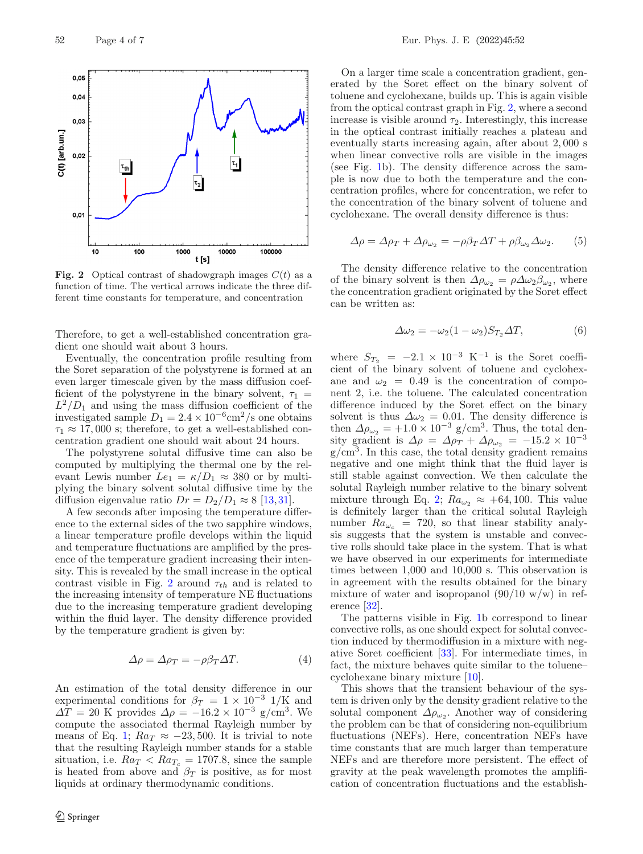

<span id="page-3-0"></span>**Fig. 2** Optical contrast of shadowgraph images  $C(t)$  as a function of time. The vertical arrows indicate the three different time constants for temperature, and concentration

Therefore, to get a well-established concentration gradient one should wait about 3 hours.

Eventually, the concentration profile resulting from the Soret separation of the polystyrene is formed at an even larger timescale given by the mass diffusion coefficient of the polystyrene in the binary solvent,  $\tau_1$  =  $L^2/D_1$  and using the mass diffusion coefficient of the investigated sample  $D_1 = 2.4 \times 10^{-6} \text{cm}^2/\text{s}$  one obtains  $\tau_1 \approx 17,000$  s; therefore, to get a well-established concentration gradient one should wait about 24 hours.

The polystyrene solutal diffusive time can also be computed by multiplying the thermal one by the relevant Lewis number  $Le_1 = \kappa/D_1 \approx 380$  or by multiplying the binary solvent solutal diffusive time by the diffusion eigenvalue ratio  $Dr = D_2/D_1 \approx 8$  [\[13,](#page-5-11)[31\]](#page-6-1).

A few seconds after imposing the temperature difference to the external sides of the two sapphire windows, a linear temperature profile develops within the liquid and temperature fluctuations are amplified by the presence of the temperature gradient increasing their intensity. This is revealed by the small increase in the optical contrast visible in Fig. [2](#page-3-0) around  $\tau_{th}$  and is related to the increasing intensity of temperature NE fluctuations due to the increasing temperature gradient developing within the fluid layer. The density difference provided by the temperature gradient is given by:

$$
\Delta \rho = \Delta \rho_T = -\rho \beta_T \Delta T. \tag{4}
$$

An estimation of the total density difference in our experimental conditions for  $\beta_T = 1 \times 10^{-3}$  1/K and  $\Delta T = 20$  K provides  $\Delta \rho = -16.2 \times 10^{-3}$  g/cm<sup>3</sup>. We compute the associated thermal Rayleigh number by means of Eq. [1;](#page-0-3)  $Ra_T \approx -23,500$ . It is trivial to note that the resulting Rayleigh number stands for a stable situation, i.e.  $Ra_T < Ra_{T_c} = 1707.8$ , since the sample is heated from above and  $\beta_T$  is positive, as for most liquids at ordinary thermodynamic conditions.

On a larger time scale a concentration gradient, generated by the Soret effect on the binary solvent of toluene and cyclohexane, builds up. This is again visible from the optical contrast graph in Fig. [2,](#page-3-0) where a second increase is visible around  $\tau_2$ . Interestingly, this increase in the optical contrast initially reaches a plateau and eventually starts increasing again, after about 2, 000 s when linear convective rolls are visible in the images (see Fig. [1b](#page-2-1)). The density difference across the sample is now due to both the temperature and the concentration profiles, where for concentration, we refer to the concentration of the binary solvent of toluene and cyclohexane. The overall density difference is thus:

$$
\Delta \rho = \Delta \rho_T + \Delta \rho_{\omega_2} = -\rho \beta_T \Delta T + \rho \beta_{\omega_2} \Delta \omega_2. \tag{5}
$$

The density difference relative to the concentration of the binary solvent is then  $\Delta \rho_{\omega_2} = \rho \Delta \omega_2 \beta_{\omega_2}$ , where the concentration gradient originated by the Soret effect can be written as:

$$
\Delta \omega_2 = -\omega_2 (1 - \omega_2) S_{T_2} \Delta T, \tag{6}
$$

where  $S_{T_2}$  =  $-2.1 \times 10^{-3}$  K<sup>-1</sup> is the Soret coefficient of the binary solvent of toluene and cyclohexane and  $\omega_2 = 0.49$  is the concentration of component 2, i.e. the toluene. The calculated concentration difference induced by the Soret effect on the binary solvent is thus  $\Delta \omega_2 = 0.01$ . The density difference is then  $\Delta \rho_{\omega_2} = +1.0 \times 10^{-3}$  g/cm<sup>3</sup>. Thus, the total density gradient is  $\Delta \rho = \Delta \rho_T + \Delta \rho_{\omega_2} = -15.2 \times 10^{-3}$  $g/cm<sup>3</sup>$ . In this case, the total density gradient remains negative and one might think that the fluid layer is still stable against convection. We then calculate the solutal Rayleigh number relative to the binary solvent mixture through Eq. [2;](#page-0-4)  $Ra_{\omega_2} \approx +64, 100$ . This value is definitely larger than the critical solutal Rayleigh number  $Ra_{\omega_c} = 720$ , so that linear stability analysis suggests that the system is unstable and convective rolls should take place in the system. That is what we have observed in our experiments for intermediate times between 1,000 and 10,000 s. This observation is in agreement with the results obtained for the binary mixture of water and isopropanol  $(90/10 \text{ w/w})$  in reference [\[32](#page-6-2)].

The patterns visible in Fig. [1b](#page-2-1) correspond to linear convective rolls, as one should expect for solutal convection induced by thermodiffusion in a mixture with negative Soret coefficient [\[33](#page-6-3)]. For intermediate times, in fact, the mixture behaves quite similar to the toluene– cyclohexane binary mixture [\[10\]](#page-5-8).

This shows that the transient behaviour of the system is driven only by the density gradient relative to the solutal component  $\Delta \rho_{\omega_2}$ . Another way of considering the problem can be that of considering non-equilibrium fluctuations (NEFs). Here, concentration NEFs have time constants that are much larger than temperature NEFs and are therefore more persistent. The effect of gravity at the peak wavelength promotes the amplification of concentration fluctuations and the establish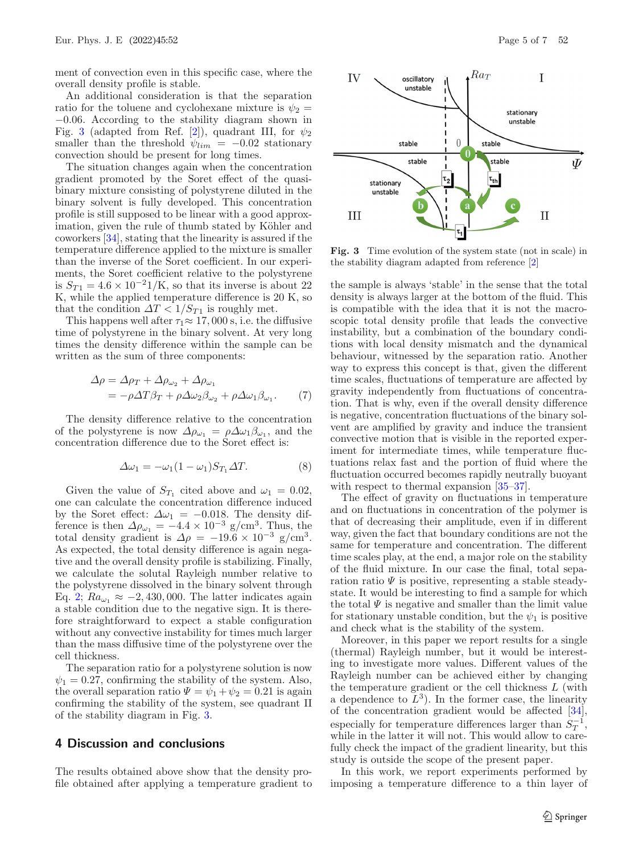ment of convection even in this specific case, where the overall density profile is stable.

An additional consideration is that the separation ratio for the toluene and cyclohexane mixture is  $\psi_2 =$ −0.06. According to the stability diagram shown in Fig. [3](#page-4-0) (adapted from Ref. [\[2\]](#page-5-1)), quadrant III, for  $\psi_2$ smaller than the threshold  $\psi_{lim} = -0.02$  stationary convection should be present for long times.

The situation changes again when the concentration gradient promoted by the Soret effect of the quasibinary mixture consisting of polystyrene diluted in the binary solvent is fully developed. This concentration profile is still supposed to be linear with a good approximation, given the rule of thumb stated by Köhler and coworkers [\[34](#page-6-4)], stating that the linearity is assured if the temperature difference applied to the mixture is smaller than the inverse of the Soret coefficient. In our experiments, the Soret coefficient relative to the polystyrene is  $S_{T1} = 4.6 \times 10^{-2} \frac{1}{\text{K}}$ , so that its inverse is about 22 K, while the applied temperature difference is 20 K, so that the condition  $\Delta T < 1/S_{T1}$  is roughly met.

This happens well after  $\tau_1 \approx 17,000$  s, i.e. the diffusive time of polystyrene in the binary solvent. At very long times the density difference within the sample can be written as the sum of three components:

$$
\Delta \rho = \Delta \rho_T + \Delta \rho_{\omega_2} + \Delta \rho_{\omega_1} \n= -\rho \Delta T \beta_T + \rho \Delta \omega_2 \beta_{\omega_2} + \rho \Delta \omega_1 \beta_{\omega_1}.
$$
\n(7)

The density difference relative to the concentration of the polystyrene is now  $\Delta \rho_{\omega_1} = \rho \Delta \omega_1 \beta_{\omega_1}$ , and the concentration difference due to the Soret effect is:

$$
\Delta \omega_1 = -\omega_1 (1 - \omega_1) S_{T_1} \Delta T.
$$
 (8)

Given the value of  $S_{T_1}$  cited above and  $\omega_1 = 0.02$ , one can calculate the concentration difference induced by the Soret effect:  $\Delta \omega_1 = -0.018$ . The density difference is then  $\Delta \rho_{\omega_1} = -4.4 \times 10^{-3} \text{ g/cm}^3$ . Thus, the total density gradient is  $\Delta \rho = -19.6 \times 10^{-3}$  g/cm<sup>3</sup>. As expected, the total density difference is again negative and the overall density profile is stabilizing. Finally, we calculate the solutal Rayleigh number relative to the polystyrene dissolved in the binary solvent through Eq. [2;](#page-0-4)  $Ra_{\omega_1} \approx -2,430,000$ . The latter indicates again a stable condition due to the negative sign. It is therefore straightforward to expect a stable configuration without any convective instability for times much larger than the mass diffusive time of the polystyrene over the cell thickness.

The separation ratio for a polystyrene solution is now  $\psi_1 = 0.27$ , confirming the stability of the system. Also, the overall separation ratio  $\Psi = \psi_1 + \psi_2 = 0.21$  is again confirming the stability of the system, see quadrant II of the stability diagram in Fig. [3.](#page-4-0)

#### **4 Discussion and conclusions**

The results obtained above show that the density profile obtained after applying a temperature gradient to



<span id="page-4-0"></span>**Fig. 3** Time evolution of the system state (not in scale) in the stability diagram adapted from reference [\[2\]](#page-5-1)

the sample is always 'stable' in the sense that the total density is always larger at the bottom of the fluid. This is compatible with the idea that it is not the macroscopic total density profile that leads the convective instability, but a combination of the boundary conditions with local density mismatch and the dynamical behaviour, witnessed by the separation ratio. Another way to express this concept is that, given the different time scales, fluctuations of temperature are affected by gravity independently from fluctuations of concentration. That is why, even if the overall density difference is negative, concentration fluctuations of the binary solvent are amplified by gravity and induce the transient convective motion that is visible in the reported experiment for intermediate times, while temperature fluctuations relax fast and the portion of fluid where the fluctuation occurred becomes rapidly neutrally buoyant with respect to thermal expansion  $[35-37]$  $[35-37]$ .

The effect of gravity on fluctuations in temperature and on fluctuations in concentration of the polymer is that of decreasing their amplitude, even if in different way, given the fact that boundary conditions are not the same for temperature and concentration. The different time scales play, at the end, a major role on the stability of the fluid mixture. In our case the final, total separation ratio  $\Psi$  is positive, representing a stable steadystate. It would be interesting to find a sample for which the total  $\Psi$  is negative and smaller than the limit value for stationary unstable condition, but the  $\psi_1$  is positive and check what is the stability of the system.

Moreover, in this paper we report results for a single (thermal) Rayleigh number, but it would be interesting to investigate more values. Different values of the Rayleigh number can be achieved either by changing the temperature gradient or the cell thickness L (with a dependence to  $L^3$ ). In the former case, the linearity of the concentration gradient would be affected [\[34\]](#page-6-4), especially for temperature differences larger than  $S_T^{-1}$ , while in the latter it will not. This would allow to carefully check the impact of the gradient linearity, but this study is outside the scope of the present paper.

In this work, we report experiments performed by imposing a temperature difference to a thin layer of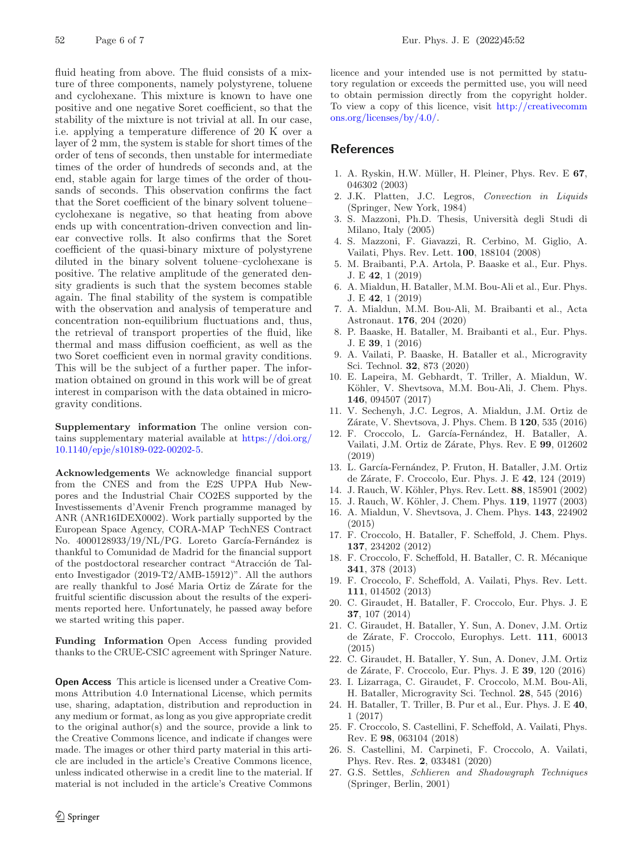fluid heating from above. The fluid consists of a mixture of three components, namely polystyrene, toluene and cyclohexane. This mixture is known to have one positive and one negative Soret coefficient, so that the stability of the mixture is not trivial at all. In our case, i.e. applying a temperature difference of 20 K over a layer of 2 mm, the system is stable for short times of the order of tens of seconds, then unstable for intermediate times of the order of hundreds of seconds and, at the end, stable again for large times of the order of thousands of seconds. This observation confirms the fact that the Soret coefficient of the binary solvent toluene– cyclohexane is negative, so that heating from above ends up with concentration-driven convection and linear convective rolls. It also confirms that the Soret coefficient of the quasi-binary mixture of polystyrene diluted in the binary solvent toluene–cyclohexane is positive. The relative amplitude of the generated density gradients is such that the system becomes stable again. The final stability of the system is compatible with the observation and analysis of temperature and concentration non-equilibrium fluctuations and, thus, the retrieval of transport properties of the fluid, like thermal and mass diffusion coefficient, as well as the two Soret coefficient even in normal gravity conditions. This will be the subject of a further paper. The information obtained on ground in this work will be of great interest in comparison with the data obtained in microgravity conditions.

**Supplementary information** The online version contains supplementary material available at [https://doi.org/](https://doi.org/10.1140/epje/s10189-022-00202-5) [10.1140/epje/s10189-022-00202-5.](https://doi.org/10.1140/epje/s10189-022-00202-5)

**Acknowledgements** We acknowledge financial support from the CNES and from the E2S UPPA Hub Newpores and the Industrial Chair CO2ES supported by the Investissements d'Avenir French programme managed by ANR (ANR16IDEX0002). Work partially supported by the European Space Agency, CORA-MAP TechNES Contract No. 4000128933/19/NL/PG. Loreto García-Fernández is thankful to Comunidad de Madrid for the financial support of the postdoctoral researcher contract "Atracción de Talento Investigador (2019-T2/AMB-15912)". All the authors are really thankful to José Maria Ortiz de Zárate for the fruitful scientific discussion about the results of the experiments reported here. Unfortunately, he passed away before we started writing this paper.

**Funding Information** Open Access funding provided thanks to the CRUE-CSIC agreement with Springer Nature.

**Open Access** This article is licensed under a Creative Commons Attribution 4.0 International License, which permits use, sharing, adaptation, distribution and reproduction in any medium or format, as long as you give appropriate credit to the original author(s) and the source, provide a link to the Creative Commons licence, and indicate if changes were made. The images or other third party material in this article are included in the article's Creative Commons licence, unless indicated otherwise in a credit line to the material. If material is not included in the article's Creative Commons licence and your intended use is not permitted by statutory regulation or exceeds the permitted use, you will need to obtain permission directly from the copyright holder. To view a copy of this licence, visit [http://creativecomm](http://creativecommons.org/licenses/by/4.0/) [ons.org/licenses/by/4.0/.](http://creativecommons.org/licenses/by/4.0/)

## **References**

- <span id="page-5-0"></span>1. A. Ryskin, H.W. M¨uller, H. Pleiner, Phys. Rev. E **67**, 046302 (2003)
- <span id="page-5-1"></span>2. J.K. Platten, J.C. Legros, *Convection in Liquids* (Springer, New York, 1984)
- 3. S. Mazzoni, Ph.D. Thesis, Universit`a degli Studi di Milano, Italy (2005)
- <span id="page-5-2"></span>4. S. Mazzoni, F. Giavazzi, R. Cerbino, M. Giglio, A. Vailati, Phys. Rev. Lett. **100**, 188104 (2008)
- <span id="page-5-3"></span>5. M. Braibanti, P.A. Artola, P. Baaske et al., Eur. Phys. J. E **42**, 1 (2019)
- <span id="page-5-4"></span>6. A. Mialdun, H. Bataller, M.M. Bou-Ali et al., Eur. Phys. J. E **42**, 1 (2019)
- <span id="page-5-5"></span>7. A. Mialdun, M.M. Bou-Ali, M. Braibanti et al., Acta Astronaut. **176**, 204 (2020)
- <span id="page-5-6"></span>8. P. Baaske, H. Bataller, M. Braibanti et al., Eur. Phys. J. E **39**, 1 (2016)
- <span id="page-5-7"></span>9. A. Vailati, P. Baaske, H. Bataller et al., Microgravity Sci. Technol. **32**, 873 (2020)
- <span id="page-5-8"></span>10. E. Lapeira, M. Gebhardt, T. Triller, A. Mialdun, W. Köhler, V. Shevtsova, M.M. Bou-Ali, J. Chem. Phys. **146**, 094507 (2017)
- <span id="page-5-9"></span>11. V. Sechenyh, J.C. Legros, A. Mialdun, J.M. Ortiz de Z´arate, V. Shevtsova, J. Phys. Chem. B **120**, 535 (2016)
- <span id="page-5-10"></span>12. F. Croccolo, L. García-Fernández, H. Bataller, A. Vailati, J.M. Ortiz de Zárate, Phys. Rev. E 99, 012602 (2019)
- <span id="page-5-11"></span>13. L. García-Fernández, P. Fruton, H. Bataller, J.M. Ortiz de Z´arate, F. Croccolo, Eur. Phys. J. E **42**, 124 (2019)
- <span id="page-5-12"></span>14. J. Rauch, W. K¨ohler, Phys. Rev. Lett. **88**, 185901 (2002)
- <span id="page-5-13"></span>15. J. Rauch, W. K¨ohler, J. Chem. Phys. **119**, 11977 (2003)
- <span id="page-5-14"></span>16. A. Mialdun, V. Shevtsova, J. Chem. Phys. **143**, 224902 (2015)
- <span id="page-5-15"></span>17. F. Croccolo, H. Bataller, F. Scheffold, J. Chem. Phys. **137**, 234202 (2012)
- 18. F. Croccolo, F. Scheffold, H. Bataller, C. R. Mécanique **341**, 378 (2013)
- 19. F. Croccolo, F. Scheffold, A. Vailati, Phys. Rev. Lett. **111**, 014502 (2013)
- 20. C. Giraudet, H. Bataller, F. Croccolo, Eur. Phys. J. E **37**, 107 (2014)
- 21. C. Giraudet, H. Bataller, Y. Sun, A. Donev, J.M. Ortiz de Z´arate, F. Croccolo, Europhys. Lett. **111**, 60013 (2015)
- 22. C. Giraudet, H. Bataller, Y. Sun, A. Donev, J.M. Ortiz de Z´arate, F. Croccolo, Eur. Phys. J. E **39**, 120 (2016)
- 23. I. Lizarraga, C. Giraudet, F. Croccolo, M.M. Bou-Ali, H. Bataller, Microgravity Sci. Technol. **28**, 545 (2016)
- 24. H. Bataller, T. Triller, B. Pur et al., Eur. Phys. J. E **40**, 1 (2017)
- 25. F. Croccolo, S. Castellini, F. Scheffold, A. Vailati, Phys. Rev. E **98**, 063104 (2018)
- <span id="page-5-16"></span>26. S. Castellini, M. Carpineti, F. Croccolo, A. Vailati, Phys. Rev. Res. **2**, 033481 (2020)
- <span id="page-5-17"></span>27. G.S. Settles, *Schlieren and Shadowgraph Techniques* (Springer, Berlin, 2001)